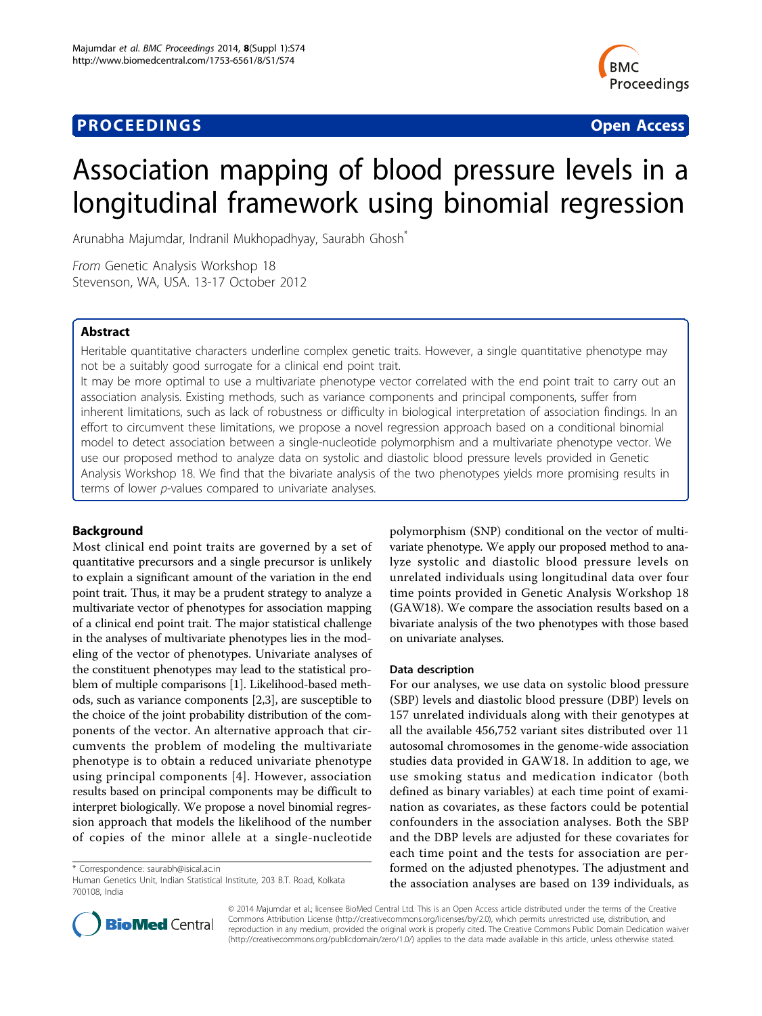# **PROCEEDINGS STATE SERVICE SERVICE SERVICE SERVICE SERVICE SERVICE SERVICE SERVICE SERVICE SERVICE SERVICE SERVICE SERVICE SERVICE SERVICE SERVICE SERVICE SERVICE SERVICE SERVICE SERVICE SERVICE SERVICE SERVICE SERVICE S**



# Association mapping of blood pressure levels in a longitudinal framework using binomial regression

Arunabha Majumdar, Indranil Mukhopadhyay, Saurabh Ghosh\*

From Genetic Analysis Workshop 18 Stevenson, WA, USA. 13-17 October 2012

# Abstract

Heritable quantitative characters underline complex genetic traits. However, a single quantitative phenotype may not be a suitably good surrogate for a clinical end point trait.

It may be more optimal to use a multivariate phenotype vector correlated with the end point trait to carry out an association analysis. Existing methods, such as variance components and principal components, suffer from inherent limitations, such as lack of robustness or difficulty in biological interpretation of association findings. In an effort to circumvent these limitations, we propose a novel regression approach based on a conditional binomial model to detect association between a single-nucleotide polymorphism and a multivariate phenotype vector. We use our proposed method to analyze data on systolic and diastolic blood pressure levels provided in Genetic Analysis Workshop 18. We find that the bivariate analysis of the two phenotypes yields more promising results in terms of lower p-values compared to univariate analyses.

# Background

Most clinical end point traits are governed by a set of quantitative precursors and a single precursor is unlikely to explain a significant amount of the variation in the end point trait. Thus, it may be a prudent strategy to analyze a multivariate vector of phenotypes for association mapping of a clinical end point trait. The major statistical challenge in the analyses of multivariate phenotypes lies in the modeling of the vector of phenotypes. Univariate analyses of the constituent phenotypes may lead to the statistical problem of multiple comparisons [\[1](#page-3-0)]. Likelihood-based methods, such as variance components [\[2,3\]](#page-3-0), are susceptible to the choice of the joint probability distribution of the components of the vector. An alternative approach that circumvents the problem of modeling the multivariate phenotype is to obtain a reduced univariate phenotype using principal components [[4\]](#page-3-0). However, association results based on principal components may be difficult to interpret biologically. We propose a novel binomial regression approach that models the likelihood of the number of copies of the minor allele at a single-nucleotide

\* Correspondence: [saurabh@isical.ac.in](mailto:saurabh@isical.ac.in)

polymorphism (SNP) conditional on the vector of multivariate phenotype. We apply our proposed method to analyze systolic and diastolic blood pressure levels on unrelated individuals using longitudinal data over four time points provided in Genetic Analysis Workshop 18 (GAW18). We compare the association results based on a bivariate analysis of the two phenotypes with those based on univariate analyses.

#### Data description

For our analyses, we use data on systolic blood pressure (SBP) levels and diastolic blood pressure (DBP) levels on 157 unrelated individuals along with their genotypes at all the available 456,752 variant sites distributed over 11 autosomal chromosomes in the genome-wide association studies data provided in GAW18. In addition to age, we use smoking status and medication indicator (both defined as binary variables) at each time point of examination as covariates, as these factors could be potential confounders in the association analyses. Both the SBP and the DBP levels are adjusted for these covariates for each time point and the tests for association are performed on the adjusted phenotypes. The adjustment and the association analyses are based on 139 individuals, as



© 2014 Majumdar et al.; licensee BioMed Central Ltd. This is an Open Access article distributed under the terms of the Creative Commons Attribution License [\(http://creativecommons.org/licenses/by/2.0](http://creativecommons.org/licenses/by/2.0)), which permits unrestricted use, distribution, and reproduction in any medium, provided the original work is properly cited. The Creative Commons Public Domain Dedication waiver [\(http://creativecommons.org/publicdomain/zero/1.0/](http://creativecommons.org/publicdomain/zero/1.0/)) applies to the data made available in this article, unless otherwise stated.

Human Genetics Unit, Indian Statistical Institute, 203 B.T. Road, Kolkata 700108, India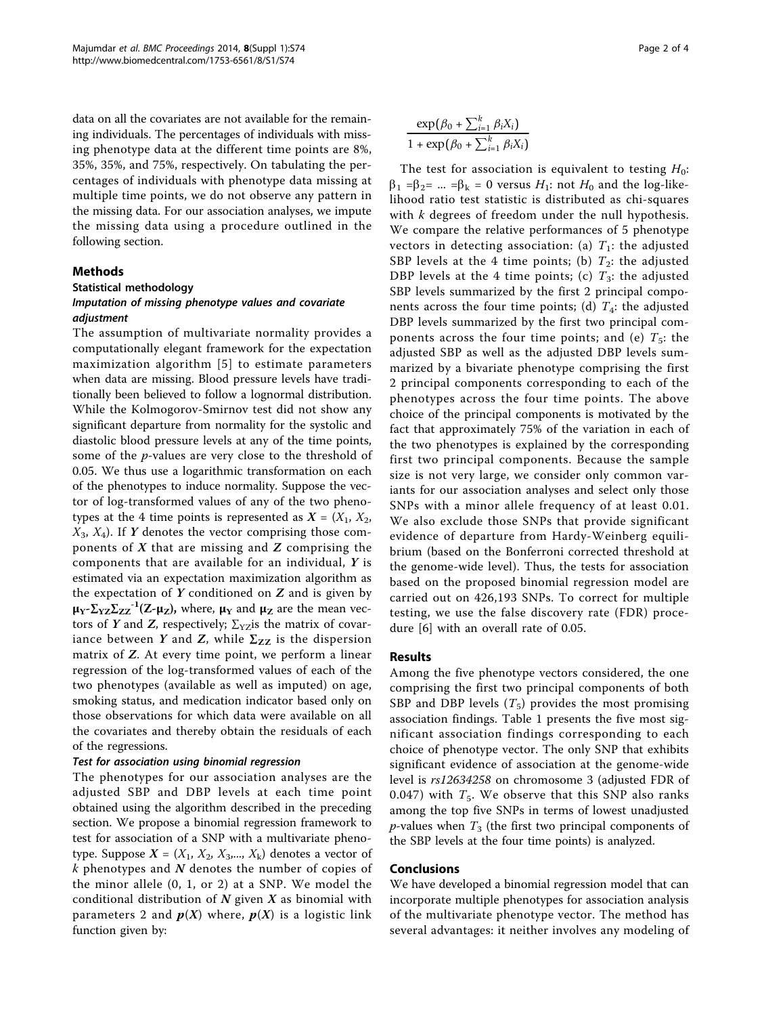data on all the covariates are not available for the remaining individuals. The percentages of individuals with missing phenotype data at the different time points are 8%, 35%, 35%, and 75%, respectively. On tabulating the percentages of individuals with phenotype data missing at multiple time points, we do not observe any pattern in the missing data. For our association analyses, we impute the missing data using a procedure outlined in the following section.

#### Methods

#### Statistical methodology

# Imputation of missing phenotype values and covariate adjustment

The assumption of multivariate normality provides a computationally elegant framework for the expectation maximization algorithm [[5\]](#page-3-0) to estimate parameters when data are missing. Blood pressure levels have traditionally been believed to follow a lognormal distribution. While the Kolmogorov-Smirnov test did not show any significant departure from normality for the systolic and diastolic blood pressure levels at any of the time points, some of the *p*-values are very close to the threshold of 0.05. We thus use a logarithmic transformation on each of the phenotypes to induce normality. Suppose the vector of log-transformed values of any of the two phenotypes at the 4 time points is represented as  $X = (X_1, X_2,$  $X_3$ ,  $X_4$ ). If Y denotes the vector comprising those components of  $X$  that are missing and  $Z$  comprising the components that are available for an individual,  $Y$  is estimated via an expectation maximization algorithm as the expectation of  $Y$  conditioned on  $Z$  and is given by  $\mu_Y - \Sigma_{YZ} \Sigma_{ZZ}^{-1}(Z - \mu_Z)$ , where,  $\mu_Y$  and  $\mu_Z$  are the mean vectors of Y and Z, respectively;  $\Sigma_{YZ}$  is the matrix of covariance between Y and Z, while  $\Sigma_{ZZ}$  is the dispersion matrix of Z. At every time point, we perform a linear regression of the log-transformed values of each of the two phenotypes (available as well as imputed) on age, smoking status, and medication indicator based only on those observations for which data were available on all the covariates and thereby obtain the residuals of each of the regressions.

## Test for association using binomial regression

The phenotypes for our association analyses are the adjusted SBP and DBP levels at each time point obtained using the algorithm described in the preceding section. We propose a binomial regression framework to test for association of a SNP with a multivariate phenotype. Suppose  $X = (X_1, X_2, X_3, \ldots, X_k)$  denotes a vector of  $k$  phenotypes and  $N$  denotes the number of copies of the minor allele (0, 1, or 2) at a SNP. We model the conditional distribution of  $N$  given  $X$  as binomial with parameters 2 and  $p(X)$  where,  $p(X)$  is a logistic link function given by:

$$
\frac{\exp(\beta_0 + \sum_{i=1}^k \beta_i X_i)}{1 + \exp(\beta_0 + \sum_{i=1}^k \beta_i X_i)}
$$

The test for association is equivalent to testing  $H_0$ :  $\beta_1 = \beta_2 = ... = \beta_k = 0$  versus  $H_1$ : not  $H_0$  and the log-likelihood ratio test statistic is distributed as chi-squares with  $k$  degrees of freedom under the null hypothesis. We compare the relative performances of 5 phenotype vectors in detecting association: (a)  $T_1$ : the adjusted SBP levels at the 4 time points; (b)  $T_2$ : the adjusted DBP levels at the 4 time points; (c)  $T_3$ : the adjusted SBP levels summarized by the first 2 principal components across the four time points; (d)  $T_4$ : the adjusted DBP levels summarized by the first two principal components across the four time points; and (e)  $T_5$ : the adjusted SBP as well as the adjusted DBP levels summarized by a bivariate phenotype comprising the first 2 principal components corresponding to each of the phenotypes across the four time points. The above choice of the principal components is motivated by the fact that approximately 75% of the variation in each of the two phenotypes is explained by the corresponding first two principal components. Because the sample size is not very large, we consider only common variants for our association analyses and select only those SNPs with a minor allele frequency of at least 0.01. We also exclude those SNPs that provide significant evidence of departure from Hardy-Weinberg equilibrium (based on the Bonferroni corrected threshold at the genome-wide level). Thus, the tests for association based on the proposed binomial regression model are carried out on 426,193 SNPs. To correct for multiple testing, we use the false discovery rate (FDR) procedure [\[6](#page-3-0)] with an overall rate of 0.05.

#### Results

Among the five phenotype vectors considered, the one comprising the first two principal components of both SBP and DBP levels  $(T_5)$  provides the most promising association findings. Table [1](#page-2-0) presents the five most significant association findings corresponding to each choice of phenotype vector. The only SNP that exhibits significant evidence of association at the genome-wide level is rs12634258 on chromosome 3 (adjusted FDR of 0.047) with  $T_5$ . We observe that this SNP also ranks among the top five SNPs in terms of lowest unadjusted *p*-values when  $T_3$  (the first two principal components of the SBP levels at the four time points) is analyzed.

#### Conclusions

We have developed a binomial regression model that can incorporate multiple phenotypes for association analysis of the multivariate phenotype vector. The method has several advantages: it neither involves any modeling of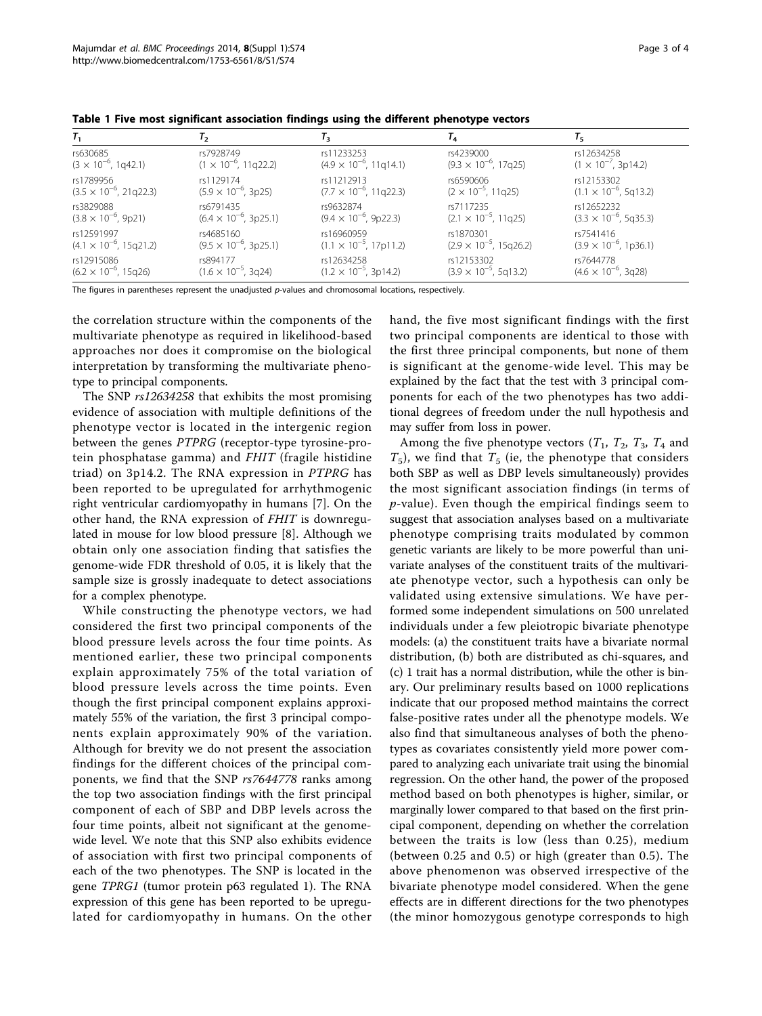| $T_1$                           | $T_{2}$                        | $T_3$                           | $T_{4}$                         | $T_5$                                   |
|---------------------------------|--------------------------------|---------------------------------|---------------------------------|-----------------------------------------|
| rs630685                        | rs7928749                      | rs11233253                      | rs4239000                       | rs12634258                              |
| $(3 \times 10^{-6}, 1q42.1)$    | $(1 \times 10^{-6}, 11q22.2)$  | $(4.9 \times 10^{-6}, 11q14.1)$ | $(9.3 \times 10^{-6}, 17q25)$   | $(1 \times 10^{-7}, 3p14.2)$            |
| rs1789956                       | rs1129174                      | rs11212913                      | rs6590606                       | rs12153302                              |
| $(3.5 \times 10^{-6}, 21q22.3)$ | $(5.9 \times 10^{-6}, 3p25)$   | $(7.7 \times 10^{-6}, 11q22.3)$ | $(2 \times 10^{-5}, 11q25)$     | $(1.1 \times 10^{-6}, 5q13.2)$          |
| rs3829088                       | rs6791435                      | rs9632874                       | rs7117235                       | rs12652232                              |
| $(3.8 \times 10^{-6}, 9p21)$    | $(6.4 \times 10^{-6}, 3p25.1)$ | $(9.4 \times 10^{-6}, 9p22.3)$  | $(2.1 \times 10^{-5}, 11q25)$   | $(3.3 \times 10^{-6}, 5q35.3)$          |
| rs12591997                      | rs4685160                      | rs16960959                      | rs1870301                       | rs7541416                               |
| $(4.1 \times 10^{-6}, 15q21.2)$ | $(9.5 \times 10^{-6}, 3p25.1)$ | $(1.1 \times 10^{-5}, 17p11.2)$ | $(2.9 \times 10^{-5}, 15q26.2)$ | $(3.9 \times 10^{-6}, 1 \text{ p36.1})$ |
| rs12915086                      | rs894177                       | rs12634258                      | rs12153302                      | rs7644778                               |
| $(6.2 \times 10^{-6}, 15q26)$   | $(1.6 \times 10^{-5}, 3q24)$   | $(1.2 \times 10^{-5}, 3p14.2)$  | $(3.9 \times 10^{-5}, 5q13.2)$  | $(4.6 \times 10^{-6}, 3q28)$            |

<span id="page-2-0"></span>Table 1 Five most significant association findings using the different phenotype vectors

The figures in parentheses represent the unadjusted  $p$ -values and chromosomal locations, respectively.

the correlation structure within the components of the multivariate phenotype as required in likelihood-based approaches nor does it compromise on the biological interpretation by transforming the multivariate phenotype to principal components.

The SNP rs12634258 that exhibits the most promising evidence of association with multiple definitions of the phenotype vector is located in the intergenic region between the genes PTPRG (receptor-type tyrosine-protein phosphatase gamma) and FHIT (fragile histidine triad) on 3p14.2. The RNA expression in PTPRG has been reported to be upregulated for arrhythmogenic right ventricular cardiomyopathy in humans [\[7](#page-3-0)]. On the other hand, the RNA expression of FHIT is downregulated in mouse for low blood pressure [\[8](#page-3-0)]. Although we obtain only one association finding that satisfies the genome-wide FDR threshold of 0.05, it is likely that the sample size is grossly inadequate to detect associations for a complex phenotype.

While constructing the phenotype vectors, we had considered the first two principal components of the blood pressure levels across the four time points. As mentioned earlier, these two principal components explain approximately 75% of the total variation of blood pressure levels across the time points. Even though the first principal component explains approximately 55% of the variation, the first 3 principal components explain approximately 90% of the variation. Although for brevity we do not present the association findings for the different choices of the principal components, we find that the SNP rs7644778 ranks among the top two association findings with the first principal component of each of SBP and DBP levels across the four time points, albeit not significant at the genomewide level. We note that this SNP also exhibits evidence of association with first two principal components of each of the two phenotypes. The SNP is located in the gene TPRG1 (tumor protein p63 regulated 1). The RNA expression of this gene has been reported to be upregulated for cardiomyopathy in humans. On the other hand, the five most significant findings with the first two principal components are identical to those with the first three principal components, but none of them is significant at the genome-wide level. This may be explained by the fact that the test with 3 principal components for each of the two phenotypes has two additional degrees of freedom under the null hypothesis and may suffer from loss in power.

Among the five phenotype vectors  $(T_1, T_2, T_3, T_4$  and  $T_5$ ), we find that  $T_5$  (ie, the phenotype that considers both SBP as well as DBP levels simultaneously) provides the most significant association findings (in terms of  $p$ -value). Even though the empirical findings seem to suggest that association analyses based on a multivariate phenotype comprising traits modulated by common genetic variants are likely to be more powerful than univariate analyses of the constituent traits of the multivariate phenotype vector, such a hypothesis can only be validated using extensive simulations. We have performed some independent simulations on 500 unrelated individuals under a few pleiotropic bivariate phenotype models: (a) the constituent traits have a bivariate normal distribution, (b) both are distributed as chi-squares, and (c) 1 trait has a normal distribution, while the other is binary. Our preliminary results based on 1000 replications indicate that our proposed method maintains the correct false-positive rates under all the phenotype models. We also find that simultaneous analyses of both the phenotypes as covariates consistently yield more power compared to analyzing each univariate trait using the binomial regression. On the other hand, the power of the proposed method based on both phenotypes is higher, similar, or marginally lower compared to that based on the first principal component, depending on whether the correlation between the traits is low (less than 0.25), medium (between 0.25 and 0.5) or high (greater than 0.5). The above phenomenon was observed irrespective of the bivariate phenotype model considered. When the gene effects are in different directions for the two phenotypes (the minor homozygous genotype corresponds to high